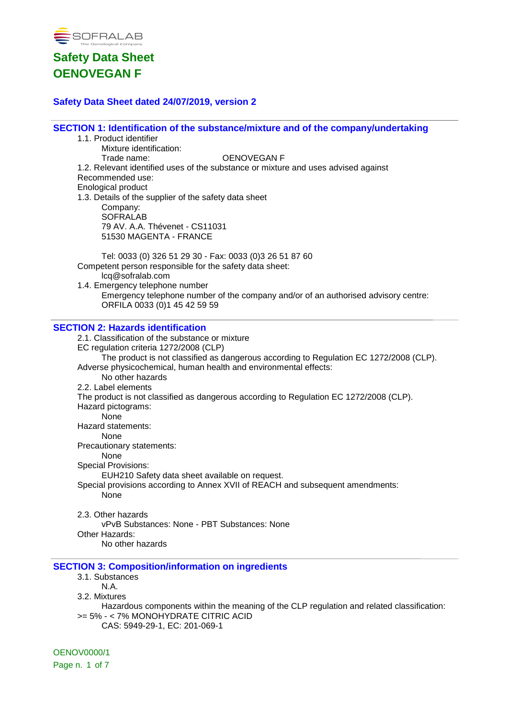

### **Safety Data Sheet dated 24/07/2019, version 2**

**SECTION 1: Identification of the substance/mixture and of the company/undertaking**

| 1.1. Product identifier                                                                |  |
|----------------------------------------------------------------------------------------|--|
| Mixture identification:                                                                |  |
| <b>OENOVEGAN F</b><br>Trade name:                                                      |  |
| 1.2. Relevant identified uses of the substance or mixture and uses advised against     |  |
| Recommended use:                                                                       |  |
| <b>Enological product</b>                                                              |  |
| 1.3. Details of the supplier of the safety data sheet                                  |  |
| Company:                                                                               |  |
| <b>SOFRALAB</b>                                                                        |  |
| 79 AV. A.A. Thévenet - CS11031                                                         |  |
| 51530 MAGENTA - FRANCE                                                                 |  |
|                                                                                        |  |
| Tel: 0033 (0) 326 51 29 30 - Fax: 0033 (0)3 26 51 87 60                                |  |
| Competent person responsible for the safety data sheet:                                |  |
| lcq@sofralab.com                                                                       |  |
| 1.4. Emergency telephone number                                                        |  |
| Emergency telephone number of the company and/or of an authorised advisory centre:     |  |
| ORFILA 0033 (0)1 45 42 59 59                                                           |  |
|                                                                                        |  |
| <b>SECTION 2: Hazards identification</b>                                               |  |
| 2.1. Classification of the substance or mixture                                        |  |
|                                                                                        |  |
| EC regulation criteria 1272/2008 (CLP)                                                 |  |
| The product is not classified as dangerous according to Regulation EC 1272/2008 (CLP). |  |
| Adverse physicochemical, human health and environmental effects:                       |  |
| No other hazards                                                                       |  |
| 2.2. Label elements                                                                    |  |
| The product is not classified as dangerous according to Regulation EC 1272/2008 (CLP). |  |
| Hazard pictograms:                                                                     |  |
| None                                                                                   |  |
| Hazard statements:                                                                     |  |
| None                                                                                   |  |
| Precautionary statements:                                                              |  |
| None                                                                                   |  |
| <b>Special Provisions:</b>                                                             |  |
| EUH210 Safety data sheet available on request.                                         |  |
| Special provisions according to Annex XVII of REACH and subsequent amendments:         |  |
| None                                                                                   |  |
|                                                                                        |  |
| 2.3. Other hazards                                                                     |  |
| vPvB Substances: None - PBT Substances: None                                           |  |
| Other Hazards:                                                                         |  |
| No other hazards                                                                       |  |
|                                                                                        |  |
| <b>SECTION 3: Composition/information on ingredients</b>                               |  |
| $24$ Cubatanaga                                                                        |  |

3.1. Substances N.A.

3.2. Mixtures

Hazardous components within the meaning of the CLP regulation and related classification: >= 5% - < 7% MONOHYDRATE CITRIC ACID CAS: 5949-29-1, EC: 201-069-1

OENOV0000/1 Page n. 1 of 7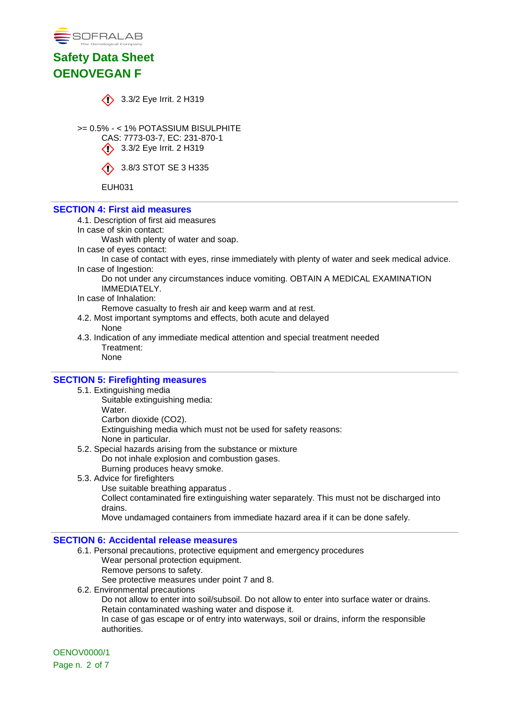



 $\bigcirc$  3.3/2 Eye Irrit. 2 H319

>= 0.5% - < 1% POTASSIUM BISULPHITE CAS: 7773-03-7, EC: 231-870-1  $\bigotimes$  3.3/2 Eye Irrit. 2 H319

 $\bullet$  3.8/3 STOT SE 3 H335

EUH031

### **SECTION 4: First aid measures**

- 4.1. Description of first aid measures
- In case of skin contact:

Wash with plenty of water and soap.

In case of eyes contact:

In case of contact with eyes, rinse immediately with plenty of water and seek medical advice. In case of Ingestion:

Do not under any circumstances induce vomiting. OBTAIN A MEDICAL EXAMINATION IMMEDIATELY.

In case of Inhalation:

Remove casualty to fresh air and keep warm and at rest.

- 4.2. Most important symptoms and effects, both acute and delayed None
- 4.3. Indication of any immediate medical attention and special treatment needed Treatment:
	- None

### **SECTION 5: Firefighting measures**

- 5.1. Extinguishing media
	- Suitable extinguishing media:
		- Water.
		- Carbon dioxide (CO2).

Extinguishing media which must not be used for safety reasons:

None in particular.

- 5.2. Special hazards arising from the substance or mixture Do not inhale explosion and combustion gases.
	- Burning produces heavy smoke.
- 5.3. Advice for firefighters
	- Use suitable breathing apparatus .

Collect contaminated fire extinguishing water separately. This must not be discharged into drains.

Move undamaged containers from immediate hazard area if it can be done safely.

### **SECTION 6: Accidental release measures**

- 6.1. Personal precautions, protective equipment and emergency procedures Wear personal protection equipment. Remove persons to safety. See protective measures under point 7 and 8. 6.2. Environmental precautions
	- Do not allow to enter into soil/subsoil. Do not allow to enter into surface water or drains. Retain contaminated washing water and dispose it. In case of gas escape or of entry into waterways, soil or drains, inform the responsible authorities.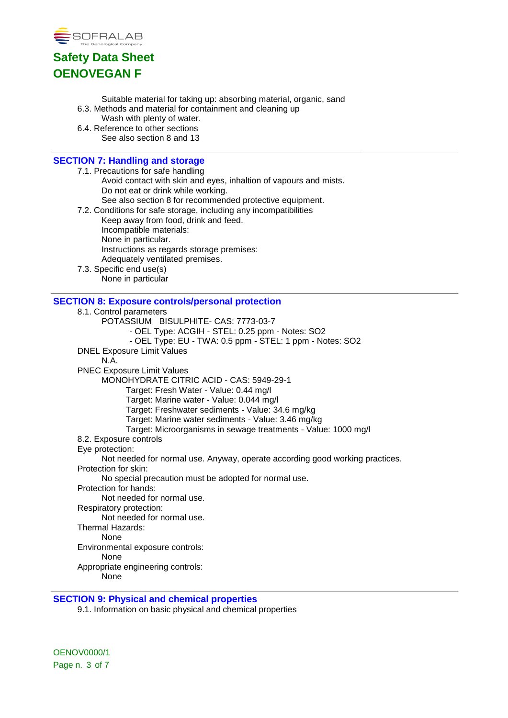

- Suitable material for taking up: absorbing material, organic, sand
- 6.3. Methods and material for containment and cleaning up
	- Wash with plenty of water.
- 6.4. Reference to other sections See also section 8 and 13

### **SECTION 7: Handling and storage**

- 7.1. Precautions for safe handling Avoid contact with skin and eyes, inhaltion of vapours and mists. Do not eat or drink while working. See also section 8 for recommended protective equipment.
- 7.2. Conditions for safe storage, including any incompatibilities Keep away from food, drink and feed. Incompatible materials: None in particular. Instructions as regards storage premises: Adequately ventilated premises.
- 7.3. Specific end use(s) None in particular

### **SECTION 8: Exposure controls/personal protection**

- 8.1. Control parameters
	- POTASSIUM BISULPHITE- CAS: 7773-03-7
		- OEL Type: ACGIH STEL: 0.25 ppm Notes: SO2
		- OEL Type: EU TWA: 0.5 ppm STEL: 1 ppm Notes: SO2
- DNEL Exposure Limit Values
	- N.A.
- PNEC Exposure Limit Values
	- MONOHYDRATE CITRIC ACID CAS: 5949-29-1
		- Target: Fresh Water Value: 0.44 mg/l
		- Target: Marine water Value: 0.044 mg/l
		- Target: Freshwater sediments Value: 34.6 mg/kg
		- Target: Marine water sediments Value: 3.46 mg/kg
		- Target: Microorganisms in sewage treatments Value: 1000 mg/l
- 8.2. Exposure controls
- Eye protection:
	- Not needed for normal use. Anyway, operate according good working practices.
- Protection for skin:
	- No special precaution must be adopted for normal use.
- Protection for hands:
	- Not needed for normal use.
- Respiratory protection:
	- Not needed for normal use.
- Thermal Hazards:
	- None
- Environmental exposure controls:
	- None
- Appropriate engineering controls:
	- None

### **SECTION 9: Physical and chemical properties**

9.1. Information on basic physical and chemical properties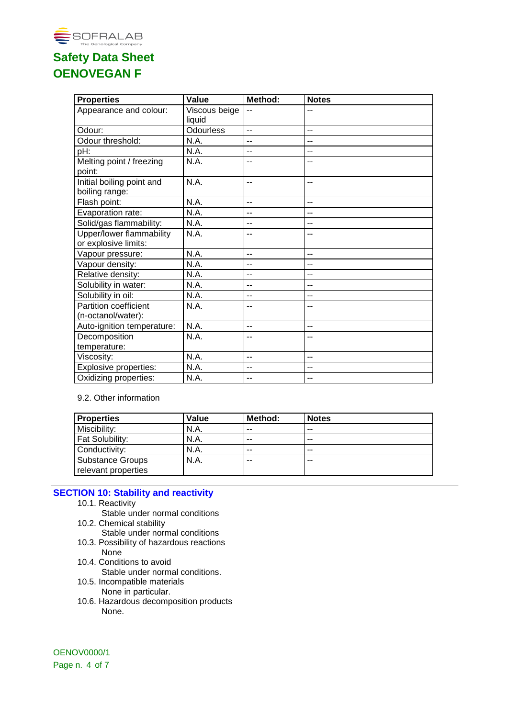

| <b>Properties</b>               | Value            | Method: | <b>Notes</b>   |
|---------------------------------|------------------|---------|----------------|
| Appearance and colour:          | Viscous beige    | $-1$    |                |
|                                 | liquid           |         |                |
| Odour:                          | <b>Odourless</b> | Ξ.      | -−             |
| Odour threshold:                | N.A.             | --      | $-1$           |
| pH:                             | N.A.             | --      | --             |
| Melting point / freezing        | N.A.             | --      | --             |
| point:                          |                  |         |                |
| Initial boiling point and       | N.A.             | --      | --             |
| boiling range:                  |                  |         |                |
| Flash point:                    | N.A.             | $=$     | $-$            |
| Evaporation rate:               | N.A.             | --      | --             |
| Solid/gas flammability:         | N.A.             | --      | --             |
| <b>Upper/lower flammability</b> | N.A.             | --      |                |
| or explosive limits:            |                  |         |                |
| Vapour pressure:                | N.A.             | --      | $-$            |
| Vapour density:                 | N.A.             | --      | --             |
| Relative density:               | N.A.             | --      | $-$            |
| Solubility in water:            | N.A.             | --      | --             |
| Solubility in oil:              | N.A.             | --      | --             |
| <b>Partition coefficient</b>    | N.A.             | --      | --             |
| (n-octanol/water):              |                  |         |                |
| Auto-ignition temperature:      | N.A.             | $-$     | $-$            |
| Decomposition                   | N.A.             | --      | --             |
| temperature:                    |                  |         |                |
| Viscosity:                      | N.A.             | $-$     | $\overline{a}$ |
| <b>Explosive properties:</b>    | N.A.             | --      | --             |
| Oxidizing properties:           | N.A.             | --      | --             |

### 9.2. Other information

| <b>Properties</b>      | Value | Method: | <b>Notes</b> |
|------------------------|-------|---------|--------------|
| Miscibility:           | N.A.  | --      | $- -$        |
| <b>Fat Solubility:</b> | N.A.  | --      | $- -$        |
| Conductivity:          | N.A.  | --      | $- -$        |
| Substance Groups       | N.A.  | --      | --           |
| relevant properties    |       |         |              |

### **SECTION 10: Stability and reactivity**

- 10.1. Reactivity
	- Stable under normal conditions
- 10.2. Chemical stability

Stable under normal conditions

- 10.3. Possibility of hazardous reactions None
- 10.4. Conditions to avoid Stable under normal conditions.
- 10.5. Incompatible materials None in particular.
- 10.6. Hazardous decomposition products None.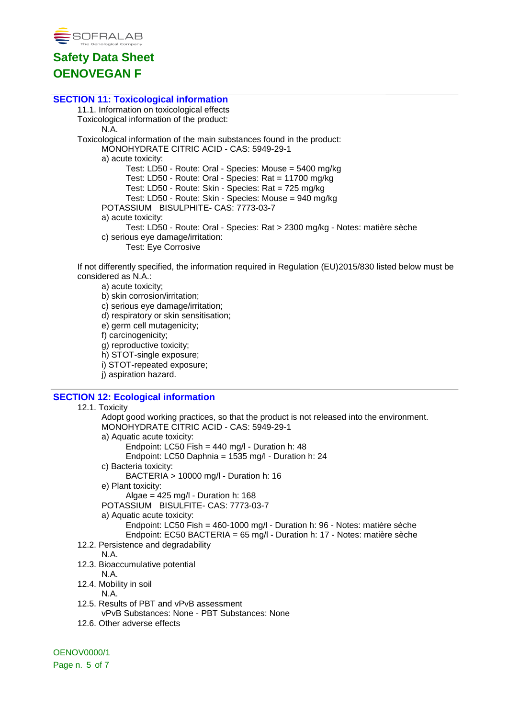

### **SECTION 11: Toxicological information**

11.1. Information on toxicological effects Toxicological information of the product: N.A. Toxicological information of the main substances found in the product: MONOHYDRATE CITRIC ACID - CAS: 5949-29-1 a) acute toxicity: Test: LD50 - Route: Oral - Species: Mouse = 5400 mg/kg Test: LD50 - Route: Oral - Species: Rat = 11700 mg/kg Test: LD50 - Route: Skin - Species: Rat = 725 mg/kg Test: LD50 - Route: Skin - Species: Mouse = 940 mg/kg POTASSIUM BISULPHITE- CAS: 7773-03-7 a) acute toxicity: Test: LD50 - Route: Oral - Species: Rat > 2300 mg/kg - Notes: matière sèche c) serious eye damage/irritation: Test: Eye Corrosive

If not differently specified, the information required in Regulation (EU)2015/830 listed below must be considered as N.A.:

- a) acute toxicity;
- b) skin corrosion/irritation;
- c) serious eye damage/irritation;
- d) respiratory or skin sensitisation;
- e) germ cell mutagenicity;
- f) carcinogenicity;
- g) reproductive toxicity;
- h) STOT-single exposure;
- i) STOT-repeated exposure;
- j) aspiration hazard.

### **SECTION 12: Ecological information**

```
12.1. Toxicity
      Adopt good working practices, so that the product is not released into the environment.
      MONOHYDRATE CITRIC ACID - CAS: 5949-29-1
      a) Aquatic acute toxicity:
            Endpoint: LC50 Fish = 440 mg/l - Duration h: 48
            Endpoint: LC50 Daphnia = 1535 mg/l - Duration h: 24
      c) Bacteria toxicity:
            BACTERIA > 10000 mg/l - Duration h: 16
      e) Plant toxicity:
            Algae = 425 \text{ mg/l} - Duration h: 168
      POTASSIUM BISULFITE- CAS: 7773-03-7
      a) Aquatic acute toxicity:
            Endpoint: LC50 Fish = 460-1000 mg/l - Duration h: 96 - Notes: matière sèche
            Endpoint: EC50 BACTERIA = 65 mg/l - Duration h: 17 - Notes: matière sèche
12.2. Persistence and degradability
      N.A.
12.3. Bioaccumulative potential
      N.A.
12.4. Mobility in soil
      N.A.
12.5. Results of PBT and vPvB assessment
      vPvB Substances: None - PBT Substances: None
12.6. Other adverse effects
```
OENOV0000/1 Page n. 5 of 7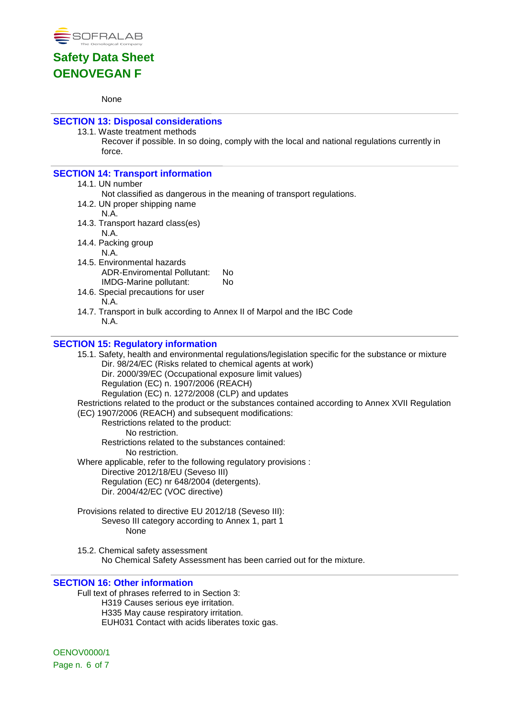

#### None

## **SECTION 13: Disposal considerations**

13.1. Waste treatment methods

Recover if possible. In so doing, comply with the local and national regulations currently in force.

### **SECTION 14: Transport information**

### 14.1. UN number

- Not classified as dangerous in the meaning of transport regulations.
- 14.2. UN proper shipping name
	- N.A.
- 14.3. Transport hazard class(es)
- N.A. 14.4. Packing group

N.A.

- 14.5. Environmental hazards ADR-Enviromental Pollutant: No IMDG-Marine pollutant: No
- 14.6. Special precautions for user N.A.
- 14.7. Transport in bulk according to Annex II of Marpol and the IBC Code N.A.

### **SECTION 15: Regulatory information**

15.1. Safety, health and environmental regulations/legislation specific for the substance or mixture Dir. 98/24/EC (Risks related to chemical agents at work) Dir. 2000/39/EC (Occupational exposure limit values) Regulation (EC) n. 1907/2006 (REACH) Regulation (EC) n. 1272/2008 (CLP) and updates Restrictions related to the product or the substances contained according to Annex XVII Regulation (EC) 1907/2006 (REACH) and subsequent modifications: Restrictions related to the product: No restriction. Restrictions related to the substances contained: No restriction. Where applicable, refer to the following regulatory provisions : Directive 2012/18/EU (Seveso III) Regulation (EC) nr 648/2004 (detergents). Dir. 2004/42/EC (VOC directive) Provisions related to directive EU 2012/18 (Seveso III): Seveso III category according to Annex 1, part 1 None

15.2. Chemical safety assessment No Chemical Safety Assessment has been carried out for the mixture.

### **SECTION 16: Other information**

Full text of phrases referred to in Section 3: H319 Causes serious eye irritation. H335 May cause respiratory irritation. EUH031 Contact with acids liberates toxic gas.

OENOV0000/1 Page n. 6 of 7